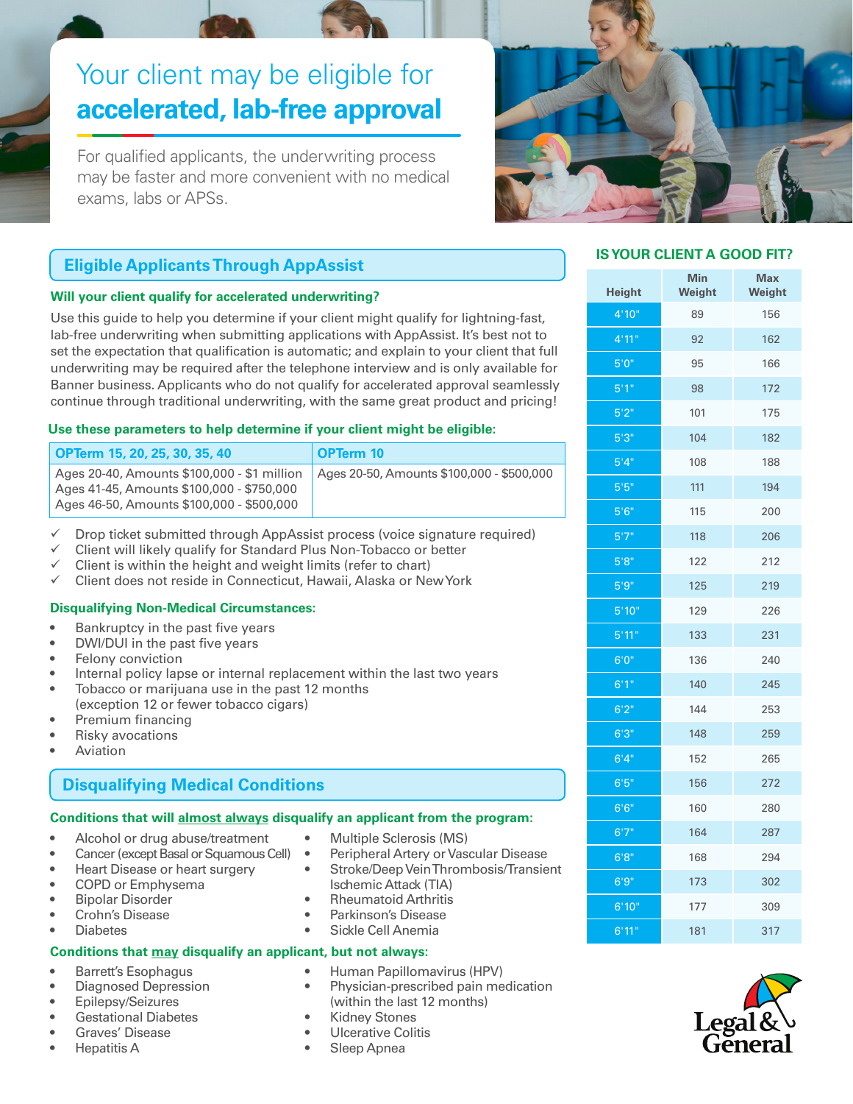# Your client may be eligible for **accelerated, lab-free approval**

For qualified applicants, the underwriting process may be faster and more convenient with no medical exams, labs or APSs.



# **Eligible Applicants Through AppAssist**

#### **Will your client qualify for accelerated underwriting?**

Use this guide to help you determine if your client might qualify for lightning-fast, lab-free underwriting when submitting applications with AppAssist. It's best not to set the expectation that qualification is automatic; and explain to your client that full underwriting may be required after the telephone interview and is only available for Banner business. Applicants who do not qualify for accelerated approval seamlessly continue through traditional underwriting, with the same great product and pricing!

#### **Use these parameters to help determine if your client might be eligible:**

| OPTerm 15, 20, 25, 30, 35, 40                                                            | OPTerm 10                                 |
|------------------------------------------------------------------------------------------|-------------------------------------------|
| Ages 20-40, Amounts \$100,000 - \$1 million<br>Ages 41-45, Amounts \$100,000 - \$750,000 | Ages 20-50, Amounts \$100,000 - \$500,000 |
| Ages 46-50, Amounts \$100,000 - \$500,000                                                |                                           |

Drop ticket submitted through AppAssist process (voice signature required)

- Client will likely qualify for Standard Plus Non-Tobacco or better
- Client is within the height and weight limits (refer to chart)
- $\checkmark$  Client does not reside in Connecticut, Hawaii, Alaska or New York

#### **Disqualifying Non-Medical Circumstances:**

- Bankruptcy in the past five years
- DWI/DUI in the past five years
- Felony conviction
- Internal policy lapse or internal replacement within the last two years
- Tobacco or marijuana use in the past 12 months (exception 12 or fewer tobacco cigars)
- Premium financing
- **Risky avocations**
- **Aviation**

# **Disqualifying Medical Conditions**

#### **Conditions that will almost always disqualify an applicant from the program:**

- Alcohol or drug abuse/treatment
- Cancer (except Basal or Squamous Cell)
- Heart Disease or heart surgery
- COPD or Emphysema

• Barrett's Esophagus • Diagnosed Depression • Epilepsy/Seizures • Gestational Diabetes Graves' Disease • Hepatitis A

- Bipolar Disorder
- Crohn's Disease
- **Diabetes**

#### **Conditions that may disqualify an applicant, but not always:**

• Human Papillomavirus (HPV)

• Multiple Sclerosis (MS)

Ischemic Attack (TIA) • Rheumatoid Arthritis • Parkinson's Disease • Sickle Cell Anemia

• Physician-prescribed pain medication (within the last 12 months)

• Peripheral Artery or Vascular Disease • Stroke/Deep Vein Thrombosis/Transient

- **Kidney Stones**
- Ulcerative Colitis
- Sleep Apnea

### **IS YOUR CLIENT A GOOD FIT?**

| <b>Height</b>      | <b>Min</b><br>Weight | <b>Max</b><br>Weight |
|--------------------|----------------------|----------------------|
| 4'10"              | 89                   | 156                  |
| 4'11''             | 92                   | 162                  |
| 5'0''              | 95                   | 166                  |
| 5'1''              | 98                   | 172                  |
| 5'2"               | 101                  | 175                  |
| 5'3''              | 104                  | 182                  |
| 5'4''              | 108                  | 188                  |
| 5'5''              | 111                  | 194                  |
| 5'6''              | 115                  | 200                  |
| 5'7''              | 118                  | 206                  |
| 5'8''              | 122                  | 212                  |
| 5'9''              | 125                  | 219                  |
| 5'10"              | 129                  | 226                  |
| 5'11''             | 133                  | 231                  |
| 6'0''              | 136                  | 240                  |
| 6'1''              | 140                  | 245                  |
| 6'2''              | 144                  | 253                  |
| 6'3''              | 148                  | 259                  |
| 6'4''              | 152                  | 265                  |
| 6'5''              | 156                  | 272                  |
| 6'6''              | 160                  | 280                  |
| 6'7''              | 164                  | 287                  |
| 6'8''              | 168                  | 294                  |
| 6'9''              | 173                  | 302                  |
| 6'10"              | 177                  | 309                  |
| $\frac{1}{6}$ '11" | 181                  | 317                  |